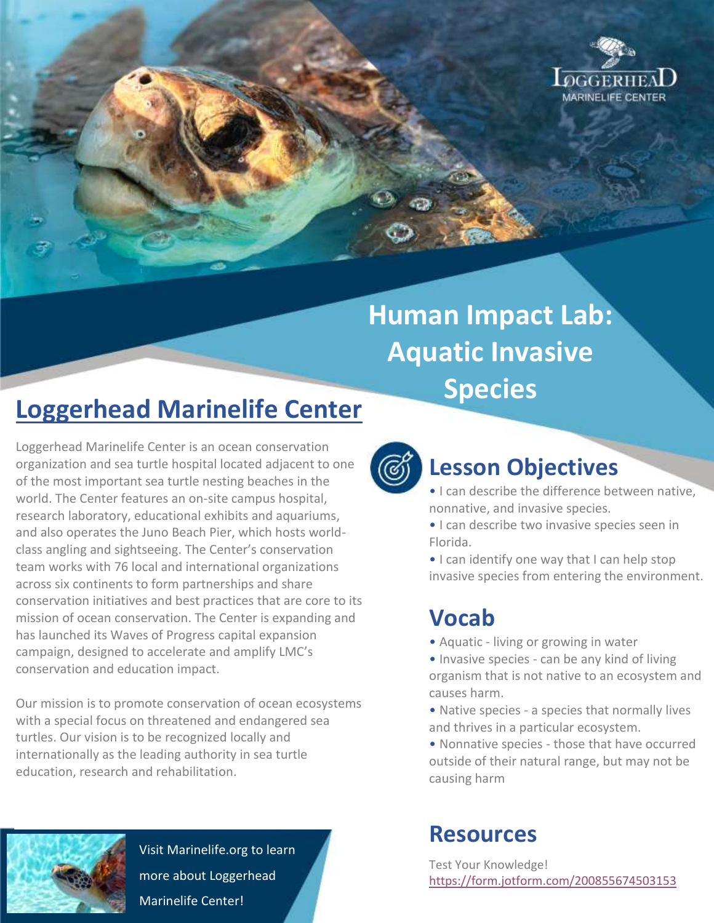

# **Human Impact Lab: Aquatic Invasive Species**

## **Loggerhead Marinelife Center**

Loggerhead Marinelife Center is an ocean conservation organization and sea turtle hospital located adjacent to one of the most important sea turtle nesting beaches in the world. The Center features an on-site campus hospital, research laboratory, educational exhibits and aquariums, and also operates the Juno Beach Pier, which hosts worldclass angling and sightseeing. The Center's conservation team works with 76 local and international organizations across six continents to form partnerships and share conservation initiatives and best practices that are core to its mission of ocean conservation. The Center is expanding and has launched its Waves of Progress capital expansion campaign, designed to accelerate and amplify LMC's conservation and education impact.

Our mission is to promote conservation of ocean ecosystems with a special focus on threatened and endangered sea turtles. Our vision is to be recognized locally and internationally as the leading authority in sea turtle education, research and rehabilitation.



Visit Marinelife.org to learn more about Loggerhead Marinelife Center!



### **Lesson Objectives**

- I can describe the difference between native, nonnative, and invasive species.
- I can describe two invasive species seen in Florida.
- I can identify one way that I can help stop invasive species from entering the environment.

### **Vocab**

- Aquatic living or growing in water
- Invasive species can be any kind of living organism that is not native to an ecosystem and causes harm.
- Native species a species that normally lives and thrives in a particular ecosystem.
- Nonnative species those that have occurred outside of their natural range, but may not be causing harm

### **Resources**

Test Your Knowledge! <https://form.jotform.com/200855674503153>